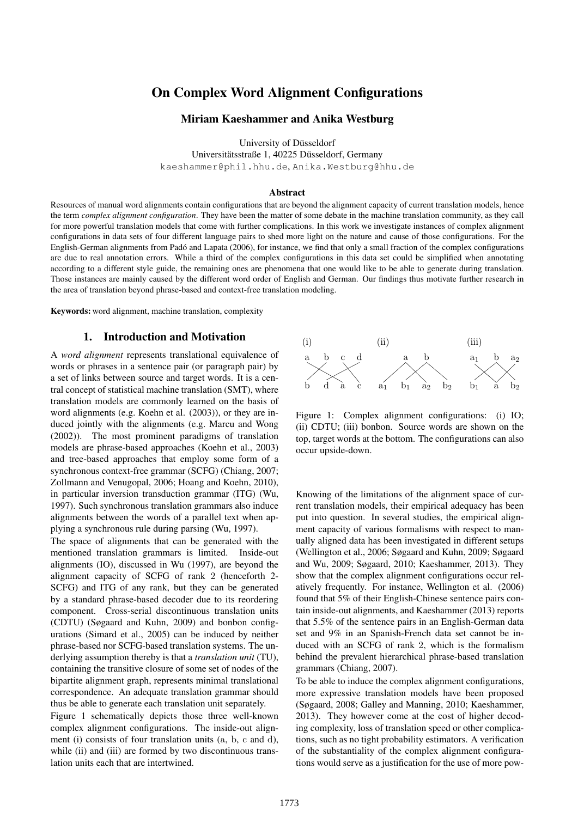# On Complex Word Alignment Configurations

### Miriam Kaeshammer and Anika Westburg

University of Düsseldorf

Universitätsstraße 1, 40225 Düsseldorf, Germany

kaeshammer@phil.hhu.de, Anika.Westburg@hhu.de

#### Abstract

Resources of manual word alignments contain configurations that are beyond the alignment capacity of current translation models, hence the term *complex alignment configuration*. They have been the matter of some debate in the machine translation community, as they call for more powerful translation models that come with further complications. In this work we investigate instances of complex alignment configurations in data sets of four different language pairs to shed more light on the nature and cause of those configurations. For the English-German alignments from Pado and Lapata (2006), for instance, we find that only a small fraction of the complex configurations ´ are due to real annotation errors. While a third of the complex configurations in this data set could be simplified when annotating according to a different style guide, the remaining ones are phenomena that one would like to be able to generate during translation. Those instances are mainly caused by the different word order of English and German. Our findings thus motivate further research in the area of translation beyond phrase-based and context-free translation modeling.

Keywords: word alignment, machine translation, complexity

## 1. Introduction and Motivation

A *word alignment* represents translational equivalence of words or phrases in a sentence pair (or paragraph pair) by a set of links between source and target words. It is a central concept of statistical machine translation (SMT), where translation models are commonly learned on the basis of word alignments (e.g. Koehn et al. (2003)), or they are induced jointly with the alignments (e.g. Marcu and Wong (2002)). The most prominent paradigms of translation models are phrase-based approaches (Koehn et al., 2003) and tree-based approaches that employ some form of a synchronous context-free grammar (SCFG) (Chiang, 2007; Zollmann and Venugopal, 2006; Hoang and Koehn, 2010), in particular inversion transduction grammar (ITG) (Wu, 1997). Such synchronous translation grammars also induce alignments between the words of a parallel text when applying a synchronous rule during parsing (Wu, 1997). A *word alignment* represents translational criptomeric means that are different process translation equivalence of words or phrases in a sentence pair (or paragraph pair) by a set of links between source and target words

The space of alignments that can be generated with the mentioned translation grammars is limited. Inside-out alignments (IO), discussed in Wu (1997), are beyond the alignment capacity of SCFG of rank 2 (henceforth 2- SCFG) and ITG of any rank, but they can be generated by a standard phrase-based decoder due to its reordering component. Cross-serial discontinuous translation units (CDTU) (Søgaard and Kuhn, 2009) and bonbon configurations (Simard et al., 2005) can be induced by neither phrase-based nor SCFG-based translation systems. The underlying assumption thereby is that a *translation unit* (TU), containing the transitive closure of some set of nodes of the bipartite alignment graph, represents minimal translational correspondence. An adequate translation grammar should thus be able to generate each translation unit separately.

Figure 1 schematically depicts those three well-known complex alignment configurations. The inside-out alignment (i) consists of four translation units (a, b, c and d), while (ii) and (iii) are formed by two discontinuous trans-



Figure 1: Complex alignment configurations: (i) IO; (ii) CDTU; (iii) bonbon. Source words are shown on the top, target words at the bottom. The configurations can also occur upside-down.

Knowing of the limitations of the alignment space of current translation models, their empirical adequacy has been put into question. In several studies, the empirical alignment capacity of various formalisms with respect to manually aligned data has been investigated in different setups (Wellington et al., 2006; Søgaard and Kuhn, 2009; Søgaard and Wu, 2009; Søgaard, 2010; Kaeshammer, 2013). They show that the complex alignment configurations occur relatively frequently. For instance, Wellington et al. (2006) found that 5% of their English-Chinese sentence pairs contain inside-out alignments, and Kaeshammer (2013) reports that 5.5% of the sentence pairs in an English-German data set and 9% in an Spanish-French data set cannot be induced with an SCFG of rank 2, which is the formalism behind the prevalent hierarchical phrase-based translation grammars (Chiang, 2007).

To be able to induce the complex alignment configurations, more expressive translation models have been proposed (Søgaard, 2008; Galley and Manning, 2010; Kaeshammer, 2013). They however come at the cost of higher decoding complexity, loss of translation speed or other complications, such as no tight probability estimators. A verification of the substantiality of the complex alignment configurations would serve as a justification for the use of more pow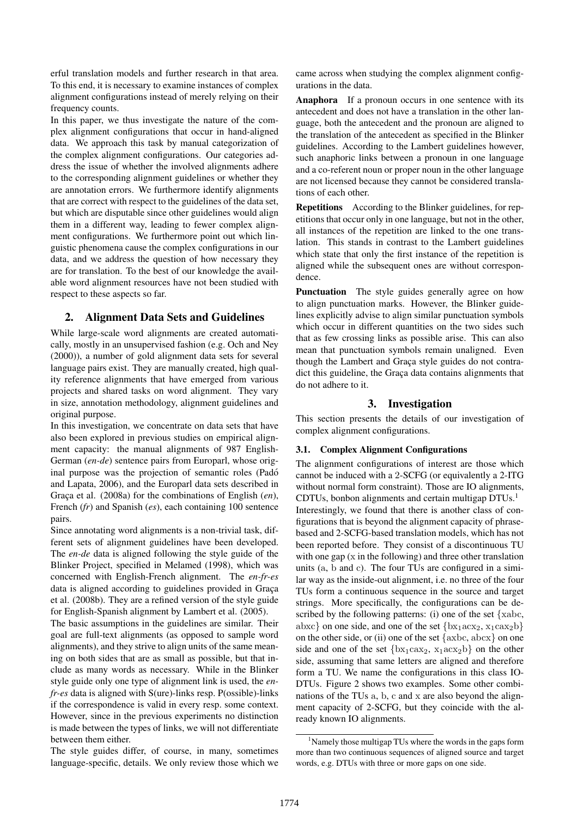erful translation models and further research in that area. To this end, it is necessary to examine instances of complex alignment configurations instead of merely relying on their frequency counts.

In this paper, we thus investigate the nature of the complex alignment configurations that occur in hand-aligned data. We approach this task by manual categorization of the complex alignment configurations. Our categories address the issue of whether the involved alignments adhere to the corresponding alignment guidelines or whether they are annotation errors. We furthermore identify alignments that are correct with respect to the guidelines of the data set, but which are disputable since other guidelines would align them in a different way, leading to fewer complex alignment configurations. We furthermore point out which linguistic phenomena cause the complex configurations in our data, and we address the question of how necessary they are for translation. To the best of our knowledge the available word alignment resources have not been studied with respect to these aspects so far.

## 2. Alignment Data Sets and Guidelines

While large-scale word alignments are created automatically, mostly in an unsupervised fashion (e.g. Och and Ney (2000)), a number of gold alignment data sets for several language pairs exist. They are manually created, high quality reference alignments that have emerged from various projects and shared tasks on word alignment. They vary in size, annotation methodology, alignment guidelines and original purpose.

In this investigation, we concentrate on data sets that have also been explored in previous studies on empirical alignment capacity: the manual alignments of 987 English-German (*en-de*) sentence pairs from Europarl, whose original purpose was the projection of semantic roles (Pado´ and Lapata, 2006), and the Europarl data sets described in Graça et al. (2008a) for the combinations of English (*en*), French (*fr*) and Spanish (*es*), each containing 100 sentence pairs.

Since annotating word alignments is a non-trivial task, different sets of alignment guidelines have been developed. The *en-de* data is aligned following the style guide of the Blinker Project, specified in Melamed (1998), which was concerned with English-French alignment. The *en-fr-es* data is aligned according to guidelines provided in Graça et al. (2008b). They are a refined version of the style guide for English-Spanish alignment by Lambert et al. (2005).

The basic assumptions in the guidelines are similar. Their goal are full-text alignments (as opposed to sample word alignments), and they strive to align units of the same meaning on both sides that are as small as possible, but that include as many words as necessary. While in the Blinker style guide only one type of alignment link is used, the *enfr-es* data is aligned with S(ure)-links resp. P(ossible)-links if the correspondence is valid in every resp. some context. However, since in the previous experiments no distinction is made between the types of links, we will not differentiate between them either.

The style guides differ, of course, in many, sometimes language-specific, details. We only review those which we came across when studying the complex alignment configurations in the data.

Anaphora If a pronoun occurs in one sentence with its antecedent and does not have a translation in the other language, both the antecedent and the pronoun are aligned to the translation of the antecedent as specified in the Blinker guidelines. According to the Lambert guidelines however, such anaphoric links between a pronoun in one language and a co-referent noun or proper noun in the other language are not licensed because they cannot be considered translations of each other.

Repetitions According to the Blinker guidelines, for repetitions that occur only in one language, but not in the other, all instances of the repetition are linked to the one translation. This stands in contrast to the Lambert guidelines which state that only the first instance of the repetition is aligned while the subsequent ones are without correspondence.

Punctuation The style guides generally agree on how to align punctuation marks. However, the Blinker guidelines explicitly advise to align similar punctuation symbols which occur in different quantities on the two sides such that as few crossing links as possible arise. This can also mean that punctuation symbols remain unaligned. Even though the Lambert and Graça style guides do not contradict this guideline, the Graça data contains alignments that do not adhere to it.

## 3. Investigation

This section presents the details of our investigation of complex alignment configurations.

## 3.1. Complex Alignment Configurations

The alignment configurations of interest are those which cannot be induced with a 2-SCFG (or equivalently a 2-ITG without normal form constraint). Those are IO alignments, CDTUs, bonbon alignments and certain multigap  $DTUs.<sup>1</sup>$ Interestingly, we found that there is another class of configurations that is beyond the alignment capacity of phrasebased and 2-SCFG-based translation models, which has not been reported before. They consist of a discontinuous TU with one gap  $(x \in \mathbb{R})$  in the following) and three other translation units (a, b and c). The four TUs are configured in a similar way as the inside-out alignment, i.e. no three of the four TUs form a continuous sequence in the source and target strings. More specifically, the configurations can be described by the following patterns: (i) one of the set  $\{xabc,$ abxc} on one side, and one of the set  $\{bx_1acx_2, x_1cax_2b\}$ on the other side, or (ii) one of the set  $\{axbc, abcx\}$  on one side and one of the set  $\{bx_1cax_2, x_1acx_2b\}$  on the other side, assuming that same letters are aligned and therefore form a TU. We name the configurations in this class IO-DTUs. Figure 2 shows two examples. Some other combinations of the TUs a, b, c and x are also beyond the alignment capacity of 2-SCFG, but they coincide with the already known IO alignments.

<sup>&</sup>lt;sup>1</sup>Namely those multigap TUs where the words in the gaps form more than two continuous sequences of aligned source and target words, e.g. DTUs with three or more gaps on one side.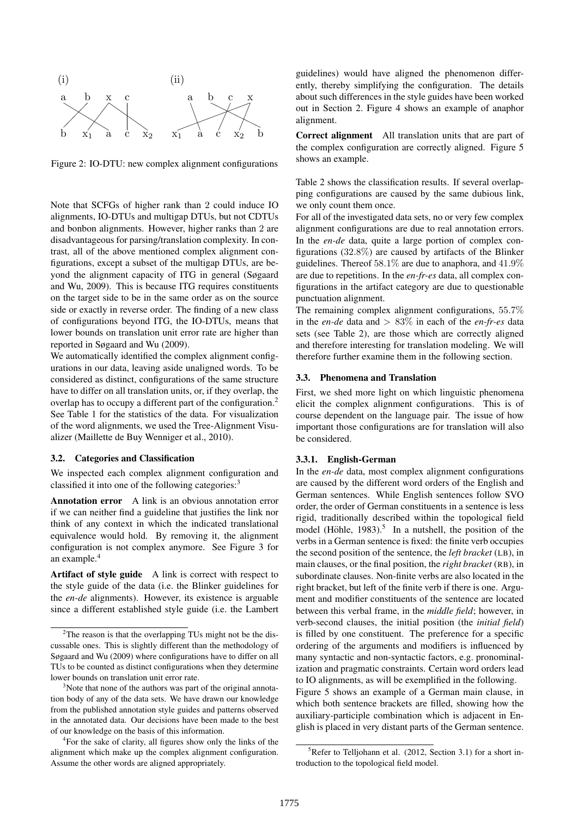

Figure 2: IO-DTU: new complex alignment configurations

Note that SCFGs of higher rank than 2 could induce IO alignments, IO-DTUs and multigap DTUs, but not CDTUs and bonbon alignments. However, higher ranks than 2 are disadvantageous for parsing/translation complexity. In contrast, all of the above mentioned complex alignment configurations, except a subset of the multigap DTUs, are beyond the alignment capacity of ITG in general (Søgaard and Wu, 2009). This is because ITG requires constituents on the target side to be in the same order as on the source side or exactly in reverse order. The finding of a new class of configurations beyond ITG, the IO-DTUs, means that lower bounds on translation unit error rate are higher than reported in Søgaard and Wu (2009).

We automatically identified the complex alignment configurations in our data, leaving aside unaligned words. To be considered as distinct, configurations of the same structure have to differ on all translation units, or, if they overlap, the overlap has to occupy a different part of the configuration.<sup>2</sup> See Table 1 for the statistics of the data. For visualization of the word alignments, we used the Tree-Alignment Visualizer (Maillette de Buy Wenniger et al., 2010).

#### 3.2. Categories and Classification

We inspected each complex alignment configuration and classified it into one of the following categories:<sup>3</sup>

Annotation error A link is an obvious annotation error if we can neither find a guideline that justifies the link nor think of any context in which the indicated translational equivalence would hold. By removing it, the alignment configuration is not complex anymore. See Figure 3 for an example.<sup>4</sup>

Artifact of style guide A link is correct with respect to the style guide of the data (i.e. the Blinker guidelines for the *en-de* alignments). However, its existence is arguable since a different established style guide (i.e. the Lambert guidelines) would have aligned the phenomenon differently, thereby simplifying the configuration. The details about such differences in the style guides have been worked out in Section 2. Figure 4 shows an example of anaphor alignment.

Correct alignment All translation units that are part of the complex configuration are correctly aligned. Figure 5 shows an example.

Table 2 shows the classification results. If several overlapping configurations are caused by the same dubious link, we only count them once.

For all of the investigated data sets, no or very few complex alignment configurations are due to real annotation errors. In the *en-de* data, quite a large portion of complex configurations (32.8%) are caused by artifacts of the Blinker guidelines. Thereof  $58.1\%$  are due to anaphora, and  $41.9\%$ are due to repetitions. In the *en-fr-es* data, all complex configurations in the artifact category are due to questionable punctuation alignment.

The remaining complex alignment configurations, 55.7% in the *en-de* data and > 83% in each of the *en-fr-es* data sets (see Table 2), are those which are correctly aligned and therefore interesting for translation modeling. We will therefore further examine them in the following section.

### 3.3. Phenomena and Translation

First, we shed more light on which linguistic phenomena elicit the complex alignment configurations. This is of course dependent on the language pair. The issue of how important those configurations are for translation will also be considered.

#### 3.3.1. English-German

In the *en-de* data, most complex alignment configurations are caused by the different word orders of the English and German sentences. While English sentences follow SVO order, the order of German constituents in a sentence is less rigid, traditionally described within the topological field model (Höhle, 1983).<sup>5</sup> In a nutshell, the position of the verbs in a German sentence is fixed: the finite verb occupies the second position of the sentence, the *left bracket* (LB), in main clauses, or the final position, the *right bracket* (RB), in subordinate clauses. Non-finite verbs are also located in the right bracket, but left of the finite verb if there is one. Argument and modifier constituents of the sentence are located between this verbal frame, in the *middle field*; however, in verb-second clauses, the initial position (the *initial field*) is filled by one constituent. The preference for a specific ordering of the arguments and modifiers is influenced by many syntactic and non-syntactic factors, e.g. pronominalization and pragmatic constraints. Certain word orders lead to IO alignments, as will be exemplified in the following. Figure 5 shows an example of a German main clause, in which both sentence brackets are filled, showing how the auxiliary-participle combination which is adjacent in English is placed in very distant parts of the German sentence.

<sup>&</sup>lt;sup>2</sup>The reason is that the overlapping TUs might not be the discussable ones. This is slightly different than the methodology of Søgaard and Wu (2009) where configurations have to differ on all TUs to be counted as distinct configurations when they determine lower bounds on translation unit error rate.

<sup>&</sup>lt;sup>3</sup>Note that none of the authors was part of the original annotation body of any of the data sets. We have drawn our knowledge from the published annotation style guides and patterns observed in the annotated data. Our decisions have been made to the best of our knowledge on the basis of this information.

<sup>4</sup> For the sake of clarity, all figures show only the links of the alignment which make up the complex alignment configuration. Assume the other words are aligned appropriately.

 ${}^{5}$ Refer to Telljohann et al. (2012, Section 3.1) for a short introduction to the topological field model.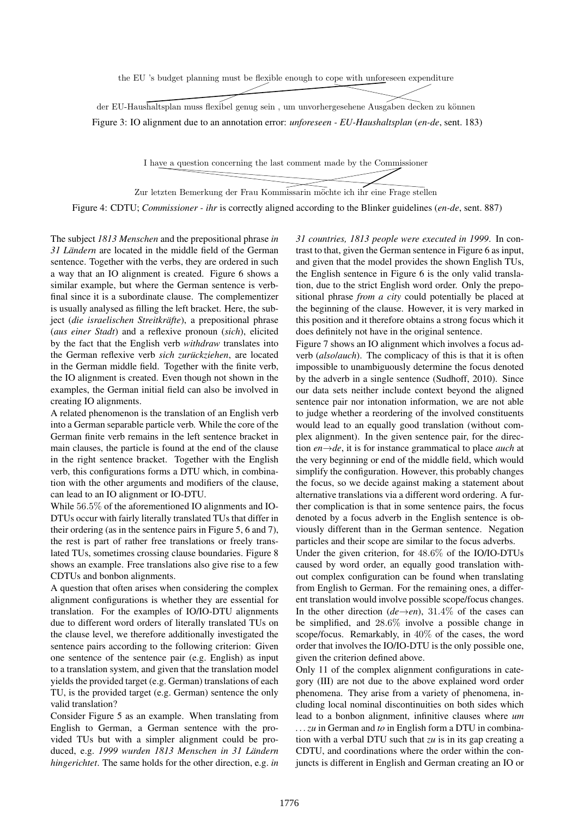the EU 's budget planning must be flexible enough to cope with unforeseen expenditure

der EU-Haushaltsplan muss flexibel genug sein, um unvorhergesehene Ausgaben decken zu können Figure 3: IO alignment due to an annotation error: *unforeseen - EU-Haushaltsplan* (*en-de*, sent. 183)

I have a question concerning the last comment made by the Commissioner

Zur letzten Bemerkung der Frau Kommissarin möchte ich ihr eine Frage stellen

Figure 4: CDTU; *Commissioner - ihr* is correctly aligned according to the Blinker guidelines (*en-de*, sent. 887)

The subject *1813 Menschen* and the prepositional phrase *in* 31 Ländern are located in the middle field of the German sentence. Together with the verbs, they are ordered in such a way that an IO alignment is created. Figure 6 shows a similar example, but where the German sentence is verbfinal since it is a subordinate clause. The complementizer is usually analysed as filling the left bracket. Here, the subject (*die israelischen Streitkräfte*), a prepositional phrase (*aus einer Stadt*) and a reflexive pronoun (*sich*), elicited by the fact that the English verb *withdraw* translates into the German reflexive verb *sich zurückziehen*, are located in the German middle field. Together with the finite verb, the IO alignment is created. Even though not shown in the examples, the German initial field can also be involved in creating IO alignments.

A related phenomenon is the translation of an English verb into a German separable particle verb. While the core of the German finite verb remains in the left sentence bracket in main clauses, the particle is found at the end of the clause in the right sentence bracket. Together with the English verb, this configurations forms a DTU which, in combination with the other arguments and modifiers of the clause, can lead to an IO alignment or IO-DTU.

While 56.5% of the aforementioned IO alignments and IO-DTUs occur with fairly literally translated TUs that differ in their ordering (as in the sentence pairs in Figure 5, 6 and 7), the rest is part of rather free translations or freely translated TUs, sometimes crossing clause boundaries. Figure 8 shows an example. Free translations also give rise to a few CDTUs and bonbon alignments.

A question that often arises when considering the complex alignment configurations is whether they are essential for translation. For the examples of IO/IO-DTU alignments due to different word orders of literally translated TUs on the clause level, we therefore additionally investigated the sentence pairs according to the following criterion: Given one sentence of the sentence pair (e.g. English) as input to a translation system, and given that the translation model yields the provided target (e.g. German) translations of each TU, is the provided target (e.g. German) sentence the only valid translation?

Consider Figure 5 as an example. When translating from English to German, a German sentence with the provided TUs but with a simpler alignment could be produced, e.g. 1999 wurden 1813 Menschen in 31 Ländern *hingerichtet*. The same holds for the other direction, e.g. *in* *31 countries, 1813 people were executed in 1999*. In contrast to that, given the German sentence in Figure 6 as input, and given that the model provides the shown English TUs, the English sentence in Figure 6 is the only valid translation, due to the strict English word order. Only the prepositional phrase *from a city* could potentially be placed at the beginning of the clause. However, it is very marked in this position and it therefore obtains a strong focus which it does definitely not have in the original sentence.

Figure 7 shows an IO alignment which involves a focus adverb (*also*/*auch*). The complicacy of this is that it is often impossible to unambiguously determine the focus denoted by the adverb in a single sentence (Sudhoff, 2010). Since our data sets neither include context beyond the aligned sentence pair nor intonation information, we are not able to judge whether a reordering of the involved constituents would lead to an equally good translation (without complex alignment). In the given sentence pair, for the direction *en*→*de*, it is for instance grammatical to place *auch* at the very beginning or end of the middle field, which would simplify the configuration. However, this probably changes the focus, so we decide against making a statement about alternative translations via a different word ordering. A further complication is that in some sentence pairs, the focus denoted by a focus adverb in the English sentence is obviously different than in the German sentence. Negation particles and their scope are similar to the focus adverbs.

Under the given criterion, for 48.6% of the IO/IO-DTUs caused by word order, an equally good translation without complex configuration can be found when translating from English to German. For the remaining ones, a different translation would involve possible scope/focus changes. In the other direction  $(de\rightarrow en)$ , 31.4% of the cases can be simplified, and 28.6% involve a possible change in scope/focus. Remarkably, in 40% of the cases, the word order that involves the IO/IO-DTU is the only possible one, given the criterion defined above.

Only 11 of the complex alignment configurations in category (III) are not due to the above explained word order phenomena. They arise from a variety of phenomena, including local nominal discontinuities on both sides which lead to a bonbon alignment, infinitive clauses where *um . . . zu* in German and *to* in English form a DTU in combination with a verbal DTU such that *zu* is in its gap creating a CDTU, and coordinations where the order within the conjuncts is different in English and German creating an IO or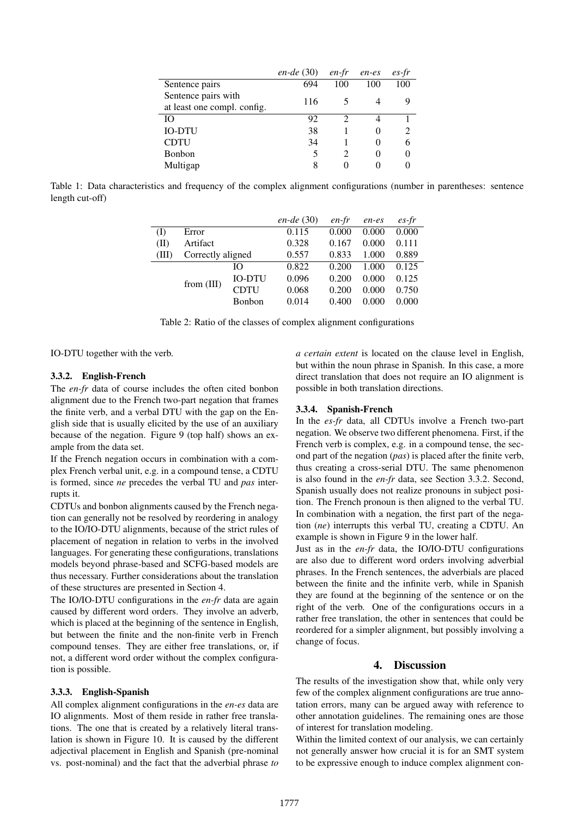|                             | $en-de (30)$ | en-fr             | en-es | $es$ -fr |
|-----------------------------|--------------|-------------------|-------|----------|
| Sentence pairs              | 694          | 100               | 100   | 100      |
| Sentence pairs with         | 116          |                   |       |          |
| at least one compl. config. |              |                   |       |          |
| IО                          | 92           | ာ                 |       |          |
| <b>IO-DTU</b>               | 38           |                   |       |          |
| <b>CDTU</b>                 | 34           |                   | 0     | 6        |
| Bonbon                      | 5            |                   | 0     |          |
| Multigap                    | 8            | $\mathbf{\Omega}$ |       |          |

Table 1: Data characteristics and frequency of the complex alignment configurations (number in parentheses: sentence length cut-off)

|       |                   |       | $en-de (30)$ | en-fr | en-es | $es$ -fr |
|-------|-------------------|-------|--------------|-------|-------|----------|
| (I)   | Error             |       | 0.115        | 0.000 | 0.000 | 0.000    |
| (II)  | Artifact          |       | 0.328        | 0.167 | 0.000 | 0.111    |
| (III) | Correctly aligned |       | 0.557        | 0.833 | 1.000 | 0.889    |
|       |                   | Ю     | 0.822        | 0.200 | 1.000 | 0.125    |
|       | <b>IO-DTU</b>     | 0.096 | 0.200        | 0.000 | 0.125 |          |
|       | from $(III)$      | CDTU  | 0.068        | 0.200 | 0.000 | 0.750    |
|       | <b>Bonbon</b>     | 0.014 | 0.400        | 0.000 | 0.000 |          |

Table 2: Ratio of the classes of complex alignment configurations

IO-DTU together with the verb.

## 3.3.2. English-French

The *en-fr* data of course includes the often cited bonbon alignment due to the French two-part negation that frames the finite verb, and a verbal DTU with the gap on the English side that is usually elicited by the use of an auxiliary because of the negation. Figure 9 (top half) shows an example from the data set.

If the French negation occurs in combination with a complex French verbal unit, e.g. in a compound tense, a CDTU is formed, since *ne* precedes the verbal TU and *pas* interrupts it.

CDTUs and bonbon alignments caused by the French negation can generally not be resolved by reordering in analogy to the IO/IO-DTU alignments, because of the strict rules of placement of negation in relation to verbs in the involved languages. For generating these configurations, translations models beyond phrase-based and SCFG-based models are thus necessary. Further considerations about the translation of these structures are presented in Section 4.

The IO/IO-DTU configurations in the *en-fr* data are again caused by different word orders. They involve an adverb, which is placed at the beginning of the sentence in English, but between the finite and the non-finite verb in French compound tenses. They are either free translations, or, if not, a different word order without the complex configuration is possible.

### 3.3.3. English-Spanish

All complex alignment configurations in the *en-es* data are IO alignments. Most of them reside in rather free translations. The one that is created by a relatively literal translation is shown in Figure 10. It is caused by the different adjectival placement in English and Spanish (pre-nominal vs. post-nominal) and the fact that the adverbial phrase *to* *a certain extent* is located on the clause level in English, but within the noun phrase in Spanish. In this case, a more direct translation that does not require an IO alignment is possible in both translation directions.

#### 3.3.4. Spanish-French

In the *es-fr* data, all CDTUs involve a French two-part negation. We observe two different phenomena. First, if the French verb is complex, e.g. in a compound tense, the second part of the negation (*pas*) is placed after the finite verb, thus creating a cross-serial DTU. The same phenomenon is also found in the *en-fr* data, see Section 3.3.2. Second, Spanish usually does not realize pronouns in subject position. The French pronoun is then aligned to the verbal TU. In combination with a negation, the first part of the negation (*ne*) interrupts this verbal TU, creating a CDTU. An example is shown in Figure 9 in the lower half.

Just as in the *en-fr* data, the IO/IO-DTU configurations are also due to different word orders involving adverbial phrases. In the French sentences, the adverbials are placed between the finite and the infinite verb, while in Spanish they are found at the beginning of the sentence or on the right of the verb. One of the configurations occurs in a rather free translation, the other in sentences that could be reordered for a simpler alignment, but possibly involving a change of focus.

## 4. Discussion

The results of the investigation show that, while only very few of the complex alignment configurations are true annotation errors, many can be argued away with reference to other annotation guidelines. The remaining ones are those of interest for translation modeling.

Within the limited context of our analysis, we can certainly not generally answer how crucial it is for an SMT system to be expressive enough to induce complex alignment con-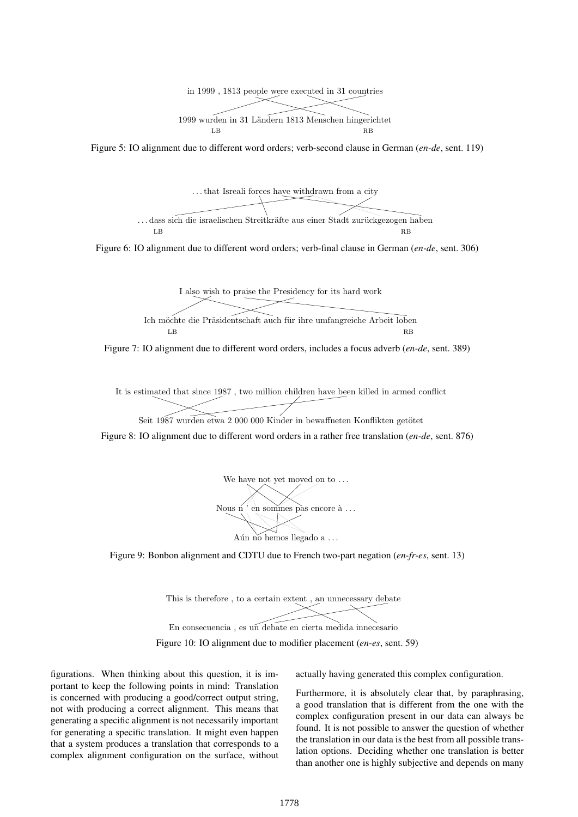

Figure 5: IO alignment due to different word orders; verb-second clause in German (*en-de*, sent. 119)



Figure 6: IO alignment due to different word orders; verb-final clause in German (*en-de*, sent. 306)



Figure 7: IO alignment due to different word orders, includes a focus adverb (*en-de*, sent. 389)

It is estimated that since 1987 , two million children have been killed in armed conflict

Seit 1987 wurden etwa 2 000 000 Kinder in bewaffneten Konflikten getötet

Figure 8: IO alignment due to different word orders in a rather free translation (*en-de*, sent. 876)



Figure 9: Bonbon alignment and CDTU due to French two-part negation (*en-fr-es*, sent. 13)

This is therefore , to a certain extent , an unnecessary debate



Figure 10: IO alignment due to modifier placement (*en-es*, sent. 59)

figurations. When thinking about this question, it is important to keep the following points in mind: Translation is concerned with producing a good/correct output string, not with producing a correct alignment. This means that generating a specific alignment is not necessarily important for generating a specific translation. It might even happen that a system produces a translation that corresponds to a complex alignment configuration on the surface, without actually having generated this complex configuration.

Furthermore, it is absolutely clear that, by paraphrasing, a good translation that is different from the one with the complex configuration present in our data can always be found. It is not possible to answer the question of whether the translation in our data is the best from all possible translation options. Deciding whether one translation is better than another one is highly subjective and depends on many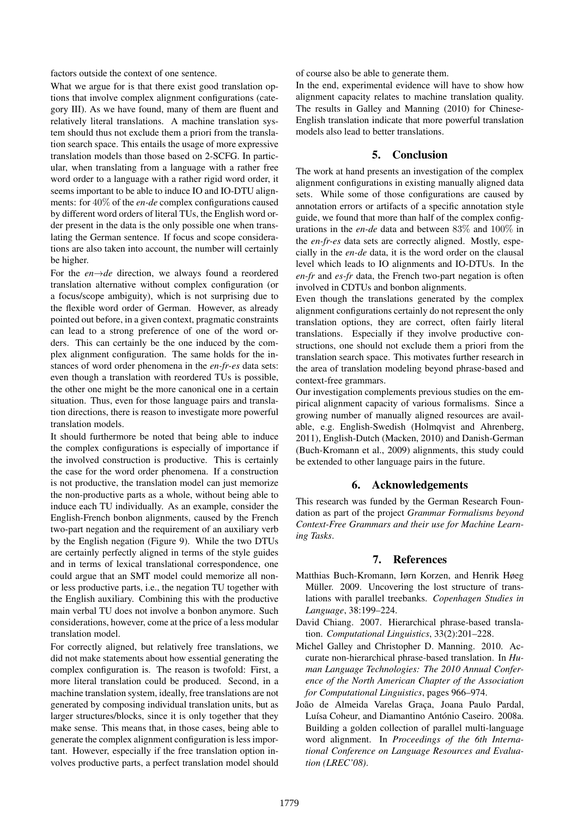factors outside the context of one sentence.

What we argue for is that there exist good translation options that involve complex alignment configurations (category III). As we have found, many of them are fluent and relatively literal translations. A machine translation system should thus not exclude them a priori from the translation search space. This entails the usage of more expressive translation models than those based on 2-SCFG. In particular, when translating from a language with a rather free word order to a language with a rather rigid word order, it seems important to be able to induce IO and IO-DTU alignments: for 40% of the *en-de* complex configurations caused by different word orders of literal TUs, the English word order present in the data is the only possible one when translating the German sentence. If focus and scope considerations are also taken into account, the number will certainly be higher.

For the *en*→*de* direction, we always found a reordered translation alternative without complex configuration (or a focus/scope ambiguity), which is not surprising due to the flexible word order of German. However, as already pointed out before, in a given context, pragmatic constraints can lead to a strong preference of one of the word orders. This can certainly be the one induced by the complex alignment configuration. The same holds for the instances of word order phenomena in the *en-fr-es* data sets: even though a translation with reordered TUs is possible, the other one might be the more canonical one in a certain situation. Thus, even for those language pairs and translation directions, there is reason to investigate more powerful translation models.

It should furthermore be noted that being able to induce the complex configurations is especially of importance if the involved construction is productive. This is certainly the case for the word order phenomena. If a construction is not productive, the translation model can just memorize the non-productive parts as a whole, without being able to induce each TU individually. As an example, consider the English-French bonbon alignments, caused by the French two-part negation and the requirement of an auxiliary verb by the English negation (Figure 9). While the two DTUs are certainly perfectly aligned in terms of the style guides and in terms of lexical translational correspondence, one could argue that an SMT model could memorize all nonor less productive parts, i.e., the negation TU together with the English auxiliary. Combining this with the productive main verbal TU does not involve a bonbon anymore. Such considerations, however, come at the price of a less modular translation model.

For correctly aligned, but relatively free translations, we did not make statements about how essential generating the complex configuration is. The reason is twofold: First, a more literal translation could be produced. Second, in a machine translation system, ideally, free translations are not generated by composing individual translation units, but as larger structures/blocks, since it is only together that they make sense. This means that, in those cases, being able to generate the complex alignment configuration is less important. However, especially if the free translation option involves productive parts, a perfect translation model should of course also be able to generate them.

In the end, experimental evidence will have to show how alignment capacity relates to machine translation quality. The results in Galley and Manning (2010) for Chinese-English translation indicate that more powerful translation models also lead to better translations.

## 5. Conclusion

The work at hand presents an investigation of the complex alignment configurations in existing manually aligned data sets. While some of those configurations are caused by annotation errors or artifacts of a specific annotation style guide, we found that more than half of the complex configurations in the *en-de* data and between 83% and 100% in the *en-fr-es* data sets are correctly aligned. Mostly, especially in the *en-de* data, it is the word order on the clausal level which leads to IO alignments and IO-DTUs. In the *en-fr* and *es-fr* data, the French two-part negation is often involved in CDTUs and bonbon alignments.

Even though the translations generated by the complex alignment configurations certainly do not represent the only translation options, they are correct, often fairly literal translations. Especially if they involve productive constructions, one should not exclude them a priori from the translation search space. This motivates further research in the area of translation modeling beyond phrase-based and context-free grammars.

Our investigation complements previous studies on the empirical alignment capacity of various formalisms. Since a growing number of manually aligned resources are available, e.g. English-Swedish (Holmqvist and Ahrenberg, 2011), English-Dutch (Macken, 2010) and Danish-German (Buch-Kromann et al., 2009) alignments, this study could be extended to other language pairs in the future.

## 6. Acknowledgements

This research was funded by the German Research Foundation as part of the project *Grammar Formalisms beyond Context-Free Grammars and their use for Machine Learning Tasks*.

### 7. References

- Matthias Buch-Kromann, Iørn Korzen, and Henrik Høeg Müller. 2009. Uncovering the lost structure of translations with parallel treebanks. *Copenhagen Studies in Language*, 38:199–224.
- David Chiang. 2007. Hierarchical phrase-based translation. *Computational Linguistics*, 33(2):201–228.
- Michel Galley and Christopher D. Manning. 2010. Accurate non-hierarchical phrase-based translation. In *Human Language Technologies: The 2010 Annual Conference of the North American Chapter of the Association for Computational Linguistics*, pages 966–974.
- João de Almeida Varelas Graça, Joana Paulo Pardal, Luísa Coheur, and Diamantino António Caseiro. 2008a. Building a golden collection of parallel multi-language word alignment. In *Proceedings of the 6th International Conference on Language Resources and Evaluation (LREC'08)*.